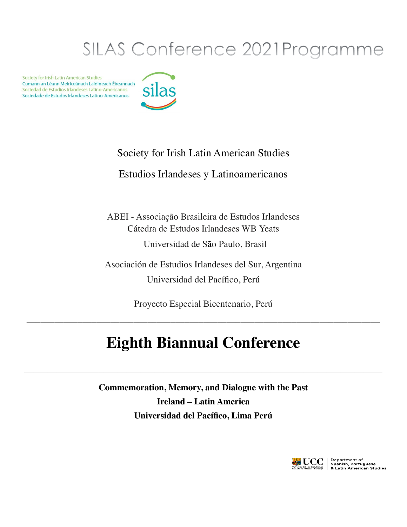# SILAS Conference 2021Programme

Society for Irish Latin American Studies Cumann an Léann Meiriceánach Laidineach Éireannach Sociedad de Estudios Irlandeses Latino-Americanos Sociedade de Estudos Irlandeses Latino-Americanos



## Society for Irish Latin American Studies

## Estudios Irlandeses y Latinoamericanos

ABEI - Associação Brasileira de Estudos Irlandeses Cátedra de Estudos Irlandeses WB Yeats Universidad de São Paulo, Brasil

Asociación de Estudios Irlandeses del Sur, Argentina Universidad del Pacífico, Perú

Proyecto Especial Bicentenario, Perú

\_\_\_\_\_\_\_\_\_\_\_\_\_\_\_\_\_\_\_\_\_\_\_\_\_\_\_\_\_\_\_\_\_\_\_\_\_\_\_\_\_\_\_\_\_\_\_\_\_\_\_\_\_\_\_\_\_\_\_\_\_\_\_\_\_\_\_\_\_\_\_\_\_\_\_\_

## **Eighth Biannual Conference**

\_\_\_\_\_\_\_\_\_\_\_\_\_\_\_\_\_\_\_\_\_\_\_\_\_\_\_\_\_\_\_\_\_\_\_\_\_\_\_\_\_\_\_\_\_\_\_\_\_\_\_\_\_\_\_\_\_\_\_\_\_\_\_\_\_\_\_\_\_\_\_\_\_\_\_\_\_

**Commemoration, Memory, and Dialogue with the Past Ireland – Latin America Universidad del Pacífico, Lima Perú** 

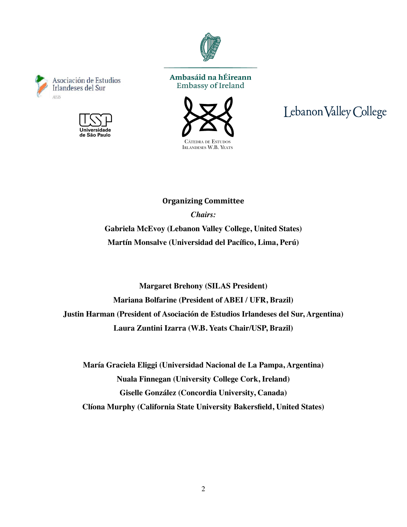

#### Ambasáid na hÉireann **Embassy of Ireland**

Asociación de Estudios

Jniversidade de São Paulo

Irlandeses del Sur

AEIS



## Lebanon Valley College

**Organizing Committee** *Chairs:* **Gabriela McEvoy (Lebanon Valley College, United States) Martín Monsalve (Universidad del Pacífico, Lima, Perú)**

**Margaret Brehony (SILAS President) Mariana Bolfarine (President of ABEI / UFR, Brazil) Justin Harman (President of Asociación de Estudios Irlandeses del Sur, Argentina) Laura Zuntini Izarra (W.B. Yeats Chair/USP, Brazil)**

**María Graciela Eliggi (Universidad Nacional de La Pampa, Argentina) Nuala Finnegan (University College Cork, Ireland) Giselle González (Concordia University, Canada) Clíona Murphy (California State University Bakersfield, United States)**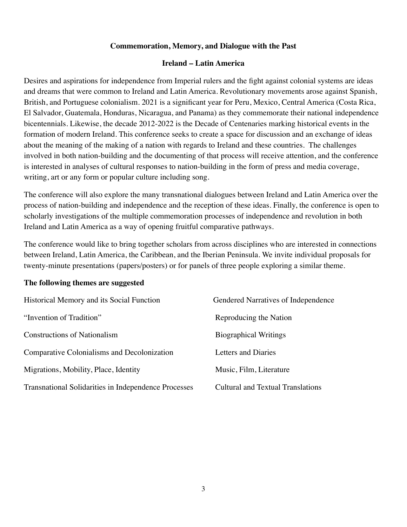#### **Commemoration, Memory, and Dialogue with the Past**

#### **Ireland – Latin America**

Desires and aspirations for independence from Imperial rulers and the fight against colonial systems are ideas and dreams that were common to Ireland and Latin America. Revolutionary movements arose against Spanish, British, and Portuguese colonialism. 2021 is a significant year for Peru, Mexico, Central America (Costa Rica, El Salvador, Guatemala, Honduras, Nicaragua, and Panama) as they commemorate their national independence bicentennials. Likewise, the decade 2012-2022 is the Decade of Centenaries marking historical events in the formation of modern Ireland. This conference seeks to create a space for discussion and an exchange of ideas about the meaning of the making of a nation with regards to Ireland and these countries. The challenges involved in both nation-building and the documenting of that process will receive attention, and the conference is interested in analyses of cultural responses to nation-building in the form of press and media coverage, writing, art or any form or popular culture including song.

The conference will also explore the many transnational dialogues between Ireland and Latin America over the process of nation-building and independence and the reception of these ideas. Finally, the conference is open to scholarly investigations of the multiple commemoration processes of independence and revolution in both Ireland and Latin America as a way of opening fruitful comparative pathways.

The conference would like to bring together scholars from across disciplines who are interested in connections between Ireland, Latin America, the Caribbean, and the Iberian Peninsula. We invite individual proposals for twenty-minute presentations (papers/posters) or for panels of three people exploring a similar theme.

#### **The following themes are suggested**

| Historical Memory and its Social Function                   | Gendered Narratives of Independence      |
|-------------------------------------------------------------|------------------------------------------|
| "Invention of Tradition"                                    | Reproducing the Nation                   |
| <b>Constructions of Nationalism</b>                         | <b>Biographical Writings</b>             |
| Comparative Colonialisms and Decolonization                 | Letters and Diaries                      |
| Migrations, Mobility, Place, Identity                       | Music, Film, Literature                  |
| <b>Transnational Solidarities in Independence Processes</b> | <b>Cultural and Textual Translations</b> |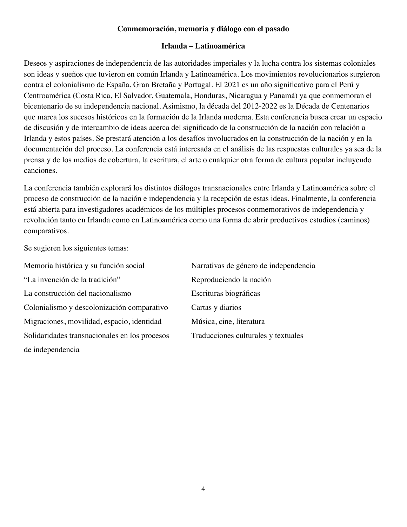#### **Conmemoración, memoria y diálogo con el pasado**

#### **Irlanda – Latinoamérica**

Deseos y aspiraciones de independencia de las autoridades imperiales y la lucha contra los sistemas coloniales son ideas y sueños que tuvieron en común Irlanda y Latinoamérica. Los movimientos revolucionarios surgieron contra el colonialismo de España, Gran Bretaña y Portugal. El 2021 es un año significativo para el Perú y Centroamérica (Costa Rica, El Salvador, Guatemala, Honduras, Nicaragua y Panamá) ya que conmemoran el bicentenario de su independencia nacional. Asimismo, la década del 2012-2022 es la Década de Centenarios que marca los sucesos históricos en la formación de la Irlanda moderna. Esta conferencia busca crear un espacio de discusión y de intercambio de ideas acerca del significado de la construcción de la nación con relación a Irlanda y estos países. Se prestará atención a los desafíos involucrados en la construcción de la nación y en la documentación del proceso. La conferencia está interesada en el análisis de las respuestas culturales ya sea de la prensa y de los medios de cobertura, la escritura, el arte o cualquier otra forma de cultura popular incluyendo canciones.

La conferencia también explorará los distintos diálogos transnacionales entre Irlanda y Latinoamérica sobre el proceso de construcción de la nación e independencia y la recepción de estas ideas. Finalmente, la conferencia está abierta para investigadores académicos de los múltiples procesos conmemorativos de independencia y revolución tanto en Irlanda como en Latinoamérica como una forma de abrir productivos estudios (caminos) comparativos.

Se sugieren los siguientes temas:

Memoria histórica y su función social Narrativas de género de independencia "La invención de la tradición" Reproduciendo la nación La construcción del nacionalismo<br>
Escrituras biográficas Colonialismo y descolonización comparativo Cartas y diarios Migraciones, movilidad, espacio, identidad Música, cine, literatura Solidaridades transnacionales en los procesos Traducciones culturales y textuales de independencia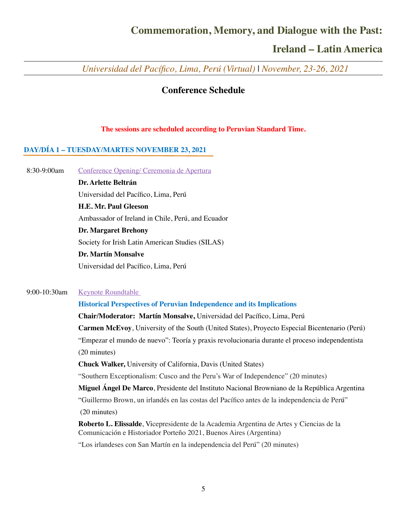## **Commemoration, Memory, and Dialogue with the Past:**

## **Ireland – Latin America**

 *Universidad del Pacífico, Lima, Perú (Virtual)* | *November, 23-26, 2021*

#### **Conference Schedule**

#### **The sessions are scheduled according to Peruvian Standard Time.**

#### **DAY/DÍA 1 – TUESDAY/MARTES NOVEMBER 23, 2021**

8:30-9:00am [Conference Opening/ Ceremonia de Apertura](https://mega.nz/file/J5tkyALY#lcsUXkfX36hwiTpT-esTncc6wV486w2QyAe3-Wv1amg)

**Dr. Arlette Beltrán** Universidad del Pacífico, Lima, Perú

**H.E. Mr. Paul Gleeson**

Ambassador of Ireland in Chile, Perú, and Ecuador

**Dr. Margaret Brehony** 

Society for Irish Latin American Studies (SILAS)

#### **Dr. Martín Monsalve**

Universidad del Pacífico, Lima, Perú

#### 9:00-10:30am [Keynote Roundtable](https://youtu.be/-PJx_v4QVvw)

#### **Historical Perspectives of Peruvian Independence and its Implications**

**Chair/Moderator: Martín Monsalve,** Universidad del Pacífico, Lima, Perú

**Carmen McEvoy**, University of the South (United States), Proyecto Especial Bicentenario (Perú) "Empezar el mundo de nuevo": Teoría y praxis revolucionaria durante el proceso independentista (20 minutes)

**Chuck Walker,** University of California, Davis (United States)

"Southern Exceptionalism: Cusco and the Peru's War of Independence" (20 minutes)

**Miguel Ángel De Marco**, Presidente del Instituto Nacional Browniano de la República Argentina "Guillermo Brown, un irlandés en las costas del Pacífico antes de la independencia de Perú" (20 minutes)

**Roberto L. Elissalde**, Vicepresidente de la Academia Argentina de Artes y Ciencias de la Comunicación e Historiador Porteño 2021, Buenos Aires (Argentina)

"Los irlandeses con San Martín en la independencia del Perú" (20 minutes)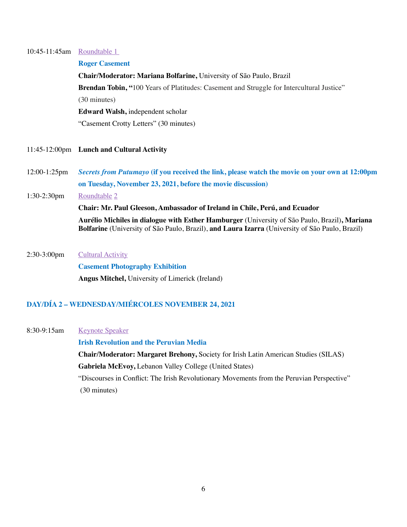#### 10:45-11:45am [Roundtable 1](https://youtu.be/Ccmdgb8VP3k)

#### **Roger Casement**

**Chair/Moderator: Mariana Bolfarine,** University of São Paulo, Brazil **Brendan Tobin, "**100 Years of Platitudes: Casement and Struggle for Intercultural Justice" (30 minutes) **Edward Walsh,** independent scholar "Casement Crotty Letters" (30 minutes)

- 11:45-12:00pm **Lunch and Cultural Activity**
- 12:00-1:25pm *Secrets from Putumayo* **(if you received the link, please watch the movie on your own at 12:00pm on Tuesday, November 23, 2021, before the movie discussion)**
- 1:30-2:30pm [Roundtable](https://youtu.be/eNc4rd1DPHI) [2](https://youtu.be/eNc4rd1DPHI)

**Chair: Mr. Paul Gleeson, Ambassador of Ireland in Chile, Perú, and Ecuador Aurélio Michiles in dialogue with Esther Hamburger** (University of São Paulo, Brazil)**, Mariana Bolfarine** (University of São Paulo, Brazil), **and Laura Izarra** (University of São Paulo, Brazil)

2:30-3:00pm [Cultural Activity](https://youtu.be/GJQSoWcP7WI)

**Casement Photography Exhibition Angus Mitchel,** University of Limerick (Ireland)

### **DAY/DÍA 2 – WEDNESDAY/MIÉRCOLES NOVEMBER 24, 2021**

8:30-9:15am [Keynote Speaker](https://youtu.be/40lHkaGsjWQ)

**Irish Revolution and the Peruvian Media**

**Chair/Moderator: Margaret Brehony,** Society for Irish Latin American Studies (SILAS) **Gabriela McEvoy,** Lebanon Valley College (United States) "Discourses in Conflict: The Irish Revolutionary Movements from the Peruvian Perspective"

(30 minutes)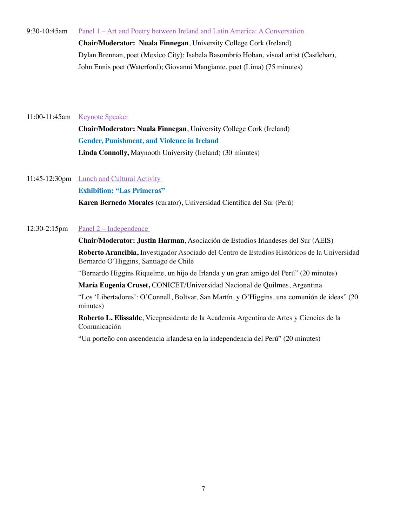9:30-10:45am [Panel 1 – Art and Poetry between Ireland and Latin America: A Conversation](https://youtu.be/WYi-Vta2AUI) 

**Chair/Moderator: Nuala Finnegan**, University College Cork (Ireland) Dylan Brennan, poet (Mexico City); Isabela Basombrío Hoban, visual artist (Castlebar), John Ennis poet (Waterford); Giovanni Mangiante, poet (Lima) (75 minutes)

#### 11:00-11:45am [Keynote Speaker](https://youtu.be/HO3G1gRLnKU)

**Chair/Moderator: Nuala Finnegan**, University College Cork (Ireland) **Gender, Punishment, and Violence in Ireland Linda Connolly,** Maynooth University (Ireland) (30 minutes)

11:45-12:30pm **Lunch and Cultural Activity** 

**Exhibition: "Las Primeras"**

**Karen Bernedo Morales** (curator), Universidad Científica del Sur (Perú)

#### $12:30-2:15$ pm Panel  $2$  – Independence

**Chair/Moderator: Justin Harman**, Asociación de Estudios Irlandeses del Sur (AEIS) **Roberto Arancibia,** Investigador Asociado del Centro de Estudios Históricos de la Universidad Bernardo O´Higgins, Santiago de Chile

"Bernardo Higgins Riquelme, un hijo de Irlanda y un gran amigo del Perú" (20 minutes)

**María Eugenia Cruset,** CONICET/Universidad Nacional de Quilmes, Argentina

"Los 'Libertadores': O'Connell, Bolívar, San Martín, y O'Higgins, una comunión de ideas" (20 minutes)

**Roberto L. Elissalde**, Vicepresidente de la Academia Argentina de Artes y Ciencias de la Comunicación

"Un porteño con ascendencia irlandesa en la independencia del Perú" (20 minutes)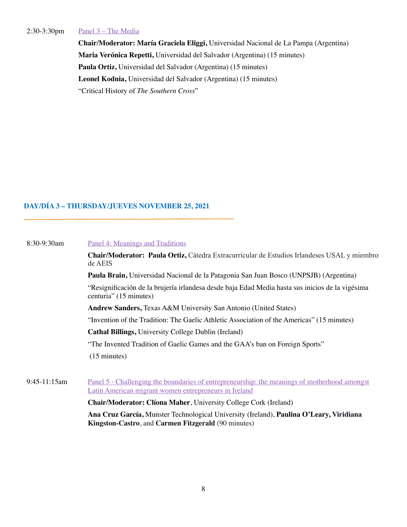#### 2:30-3:30pm [Panel 3 – The Media](https://youtu.be/i1Oxs4GypxU)

**Chair/Moderator: María Graciela Eliggi,** Universidad Nacional de La Pampa (Argentina) **Maria Verónica Repetti,** Universidad del Salvador (Argentina) (15 minutes) **Paula Ortiz,** Universidad del Salvador (Argentina) (15 minutes) **Leonel Kodnia,** Universidad del Salvador (Argentina) (15 minutes) "Critical History of *The Southern Cross*"

### **DAY/DÍA 3 – THURSDAY/JUEVES NOVEMBER 25, 2021**

| 8:30-9:30am                                                                                                                                    | Panel 4: Meanings and Traditions<br>Chair/Moderator: Paula Ortiz, Cátedra Extracurricular de Estudios Irlandeses USAL y miembro<br>de AEIS<br>Paula Brain, Universidad Nacional de la Patagonia San Juan Bosco (UNPSJB) (Argentina)<br>"Resignificación de la brujería irlandesa desde baja Edad Media hasta sus inicios de la vigésima<br>centuria" (15 minutes)<br><b>Andrew Sanders, Texas A&amp;M University San Antonio (United States)</b> |                                                                                                                                                       |                                                                                            |  |
|------------------------------------------------------------------------------------------------------------------------------------------------|--------------------------------------------------------------------------------------------------------------------------------------------------------------------------------------------------------------------------------------------------------------------------------------------------------------------------------------------------------------------------------------------------------------------------------------------------|-------------------------------------------------------------------------------------------------------------------------------------------------------|--------------------------------------------------------------------------------------------|--|
|                                                                                                                                                |                                                                                                                                                                                                                                                                                                                                                                                                                                                  |                                                                                                                                                       |                                                                                            |  |
|                                                                                                                                                |                                                                                                                                                                                                                                                                                                                                                                                                                                                  |                                                                                                                                                       | "Invention of the Tradition: The Gaelic Athletic Association of the Americas" (15 minutes) |  |
|                                                                                                                                                |                                                                                                                                                                                                                                                                                                                                                                                                                                                  |                                                                                                                                                       | <b>Cathal Billings, University College Dublin (Ireland)</b>                                |  |
|                                                                                                                                                |                                                                                                                                                                                                                                                                                                                                                                                                                                                  |                                                                                                                                                       | "The Invented Tradition of Gaelic Games and the GAA's ban on Foreign Sports"               |  |
|                                                                                                                                                | $(15 \text{ minutes})$                                                                                                                                                                                                                                                                                                                                                                                                                           |                                                                                                                                                       |                                                                                            |  |
|                                                                                                                                                |                                                                                                                                                                                                                                                                                                                                                                                                                                                  |                                                                                                                                                       |                                                                                            |  |
|                                                                                                                                                | 9:45-11:15am                                                                                                                                                                                                                                                                                                                                                                                                                                     | Panel 5 - Challenging the boundaries of entrepreneurship: the meanings of motherhood amongst<br>Latin American migrant women entrepreneurs in Ireland |                                                                                            |  |
|                                                                                                                                                |                                                                                                                                                                                                                                                                                                                                                                                                                                                  | <b>Chair/Moderator: Clíona Maher, University College Cork (Ireland)</b>                                                                               |                                                                                            |  |
| Ana Cruz García, Munster Technological University (Ireland), Paulina O'Leary, Viridiana<br>Kingston-Castro, and Carmen Fitzgerald (90 minutes) |                                                                                                                                                                                                                                                                                                                                                                                                                                                  |                                                                                                                                                       |                                                                                            |  |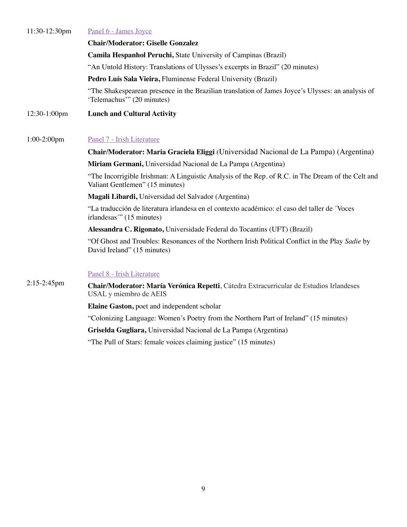| $11:30-12:30$ pm | Panel 6 - James Joyce                                                                                                                 |  |
|------------------|---------------------------------------------------------------------------------------------------------------------------------------|--|
|                  | <b>Chair/Moderator: Giselle Gonzalez</b>                                                                                              |  |
|                  | Camila Hespanhol Peruchi, State University of Campinas (Brazil)                                                                       |  |
|                  | "An Untold History: Translations of Ulysses's excerpts in Brazil" (20 minutes)                                                        |  |
|                  | Pedro Luís Sala Vieira, Fluminense Federal University (Brazil)                                                                        |  |
|                  | "The Shakespearean presence in the Brazilian translation of James Joyce's Ulysses: an analysis of<br>'Telemachus'" (20 minutes)       |  |
| 12:30-1:00pm     | <b>Lunch and Cultural Activity</b>                                                                                                    |  |
|                  |                                                                                                                                       |  |
| $1:00-2:00$ pm   | Panel 7 - Irish Literature                                                                                                            |  |
|                  | Chair/Moderator: Maria Graciela Eliggi (Universidad Nacional de La Pampa) (Argentina)                                                 |  |
|                  | Miriam Germani, Universidad Nacional de La Pampa (Argentina)                                                                          |  |
|                  | "The Incorrigible Irishman: A Linguistic Analysis of the Rep. of R.C. in The Dream of the Celt and<br>Valiant Gentlemen" (15 minutes) |  |
|                  | Magali Libardi, Universidad del Salvador (Argentina)                                                                                  |  |
|                  | "La traducción de literatura irlandesa en el contexto académico: el caso del taller de Voces<br>irlandesas" (15 minutes)              |  |
|                  | Alessandra C. Rigonato, Universidade Federal do Tocantins (UFT) (Brazil)                                                              |  |
|                  | "Of Ghost and Troubles: Resonances of the Northern Irish Political Conflict in the Play Sadie by<br>David Ireland" (15 minutes)       |  |
|                  | Panel 8 - Irish Literature                                                                                                            |  |
| $2:15-2:45$ pm   | Chair/Moderator: María Verónica Repetti, Cátedra Extracurricular de Estudios Irlandeses<br>USAL y miembro de AEIS                     |  |
|                  | Elaine Gaston, poet and independent scholar                                                                                           |  |
|                  | "Colonizing Language: Women's Poetry from the Northern Part of Ireland" (15 minutes)                                                  |  |
|                  |                                                                                                                                       |  |

**Griselda Gugliara,** Universidad Nacional de La Pampa (Argentina)

"The Pull of Stars: female voices claiming justice" (15 minutes)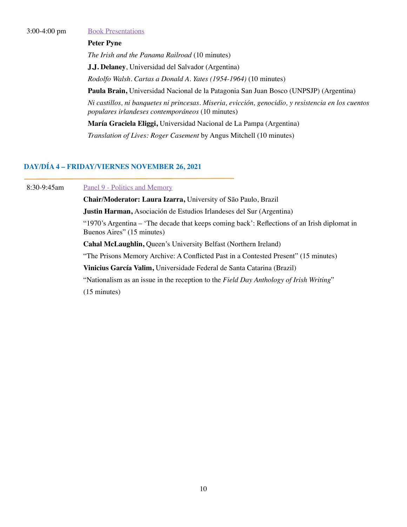3:00-4:00 pm [Book Presentations](https://youtu.be/RIS_ULd8PY0)

#### **Peter Pyne**

*The Irish and the Panama Railroad* (10 minutes)

**J.J. Delaney**, Universidad del Salvador (Argentina)

*Rodolfo Walsh. Cartas a Donald A. Yates (1954-1964)* (10 minutes)

**Paula Brain,** Universidad Nacional de la Patagonia San Juan Bosco (UNPSJP) (Argentina)

*Ni castillos, ni banquetes ni princesas. Miseria, evicción, genocidio, y resistencia en los cuentos populares irlandeses contemporáneos* (10 minutes)

**María Graciela Eliggi,** Universidad Nacional de La Pampa (Argentina)

*Translation of Lives: Roger Casement* by Angus Mitchell (10 minutes)

#### **DAY/DÍA 4 – FRIDAY/VIERNES NOVEMBER 26, 2021**

8:30-9:45am [Panel](https://youtu.be/IIt1lQvVUj8) 9 [- Politics and Memory](https://youtu.be/IIt1lQvVUj8)

**Chair/Moderator: Laura Izarra,** University of São Paulo, Brazil **Justin Harman,** Asociación de Estudios Irlandeses del Sur (Argentina) "1970's Argentina – 'The decade that keeps coming back': Reflections of an Irish diplomat in Buenos Aires" (15 minutes) **Cahal McLaughlin,** Queen's University Belfast (Northern Ireland) "The Prisons Memory Archive: A Conflicted Past in a Contested Present" (15 minutes)

**Vinicius García Valim,** Universidade Federal de Santa Catarina (Brazil)

"Nationalism as an issue in the reception to the *Field Day Anthology of Irish Writing*"

(15 minutes)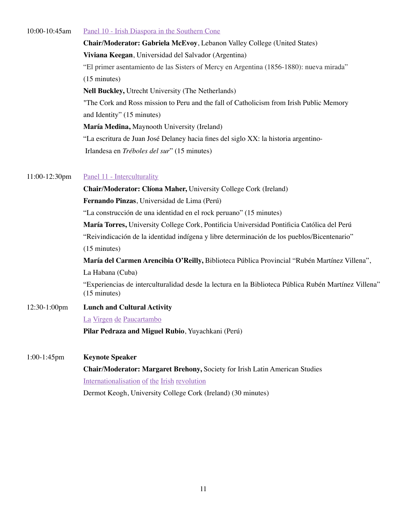| 10:00-10:45am | Panel 10 - Irish Diaspora in the Southern Cone                           |
|---------------|--------------------------------------------------------------------------|
|               | Chair/Moderator: Gabriela McEvoy, Lebanon Valley College (United States) |

**Viviana Keegan**, Universidad del Salvador (Argentina) "El primer asentamiento de las Sisters of Mercy en Argentina (1856-1880): nueva mirada" (15 minutes) **Nell Buckley,** Utrecht University (The Netherlands) "The Cork and Ross mission to Peru and the fall of Catholicism from Irish Public Memory and Identity" (15 minutes) **María Medina,** Maynooth University (Ireland) "La escritura de Juan José Delaney hacia fines del siglo XX: la historia argentino- Irlandesa en *Tréboles del sur*" (15 minutes)

11:00-12:30pm [Panel 11 - Interculturality](https://youtu.be/Y98jtRddMb4)

**Chair/Moderator: Clíona Maher,** University College Cork (Ireland) **Fernando Pinzas**, Universidad de Lima (Perú) "La construcción de una identidad en el rock peruano" (15 minutes) **María Torres,** University College Cork, Pontificia Universidad Pontificia Católica del Perú "Reivindicación de la identidad indígena y libre determinación de los pueblos/Bicentenario" (15 minutes) **María del Carmen Arencibia O'Reilly,** Biblioteca Pública Provincial "Rubén Martínez Villena", La Habana (Cuba) "Experiencias de interculturalidad desde la lectura en la Biblioteca Pública Rubén Martínez Villena" (15 minutes) 12:30-1:00pm **Lunch and Cultural Activity** [La](https://youtu.be/BQZ0B7fKq8o) [Virgen](https://youtu.be/BQZ0B7fKq8o) [de](https://youtu.be/BQZ0B7fKq8o) [Paucartambo](https://youtu.be/BQZ0B7fKq8o) **Pilar Pedraza and Miguel Rubio**, Yuyachkani (Perú)

1:00-1:45pm **Keynote Speaker**

**Chair/Moderator: Margaret Brehony,** Society for Irish Latin American Studies [Internationalisation](https://youtu.be/YWFUyBEAOSU) [of](https://youtu.be/YWFUyBEAOSU) [the](https://youtu.be/YWFUyBEAOSU) [Irish](https://youtu.be/YWFUyBEAOSU) [revolution](https://youtu.be/YWFUyBEAOSU) Dermot Keogh, University College Cork (Ireland) (30 minutes)